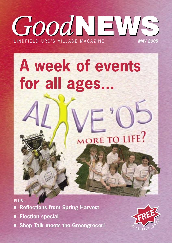## *Good*NEWS *Good*NEWS L I N D F I E L D U R C ' S V I L L A G E M A G A Z I N E **MAY 2005**

# **A week of events for all ages...**



■ Reflections from Spring Harvest **Election special PLUS...**

**Shop Talk meets the Greengrocer!**

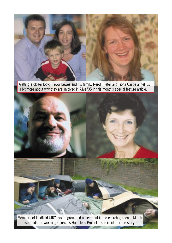

Getting a closer look: Trevor Lewes and his family, Neroli, Peter and Fiona Castle all tell us a bit more about why they are involved in Alive '05 in this month's special feature article.



Members of Lindfield URC's youth group did a sleep out in the church garden in March to raise funds for Worthing Churches Homeless Project – see inside for the story.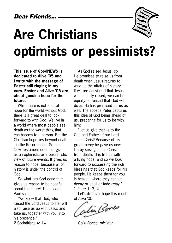## **Are Christians optimists or pessimists?**

#### **This issue of GoodNEWS is dedicated to Alive '05 and I write with the message of Easter still ringing in my ears. Easter and Alive '05 are about genuine hope for the future.**

While there is not a lot of hope for the world without God, there is a great deal to look forward to with God. We live in a world where most people see death as the worst thing that can happen to a person. But the Christian hope lies beyond death - in the Resurrection. So the New Testament does not give us an optimistic or a pessimistic view of future events. It gives us reason to hope, because all of history is under the control of God.

So what has God done that gives us reason to be hopeful about the future? The apostle Paul said:

"We know that God, who raised the Lord Jesus to life, will also raise us up with Jesus and take us, together with you, into his presence."

2 Corinthians 4: 14.

As God raised Jesus, so He promises to raise us from death when Jesus returns to wind up the affairs of history. If we are convinced that Jesus was actually raised, we can be equally convinced that God will do as He has promised for us as well. The apostle Peter captures this idea of God being ahead of us, preparing for us to be with him:

"Let us give thanks to the God and Father of our Lord Jesus Christ! Because of his great mercy he gave us new life by raising Jesus Christ from death. This fills us with a living hope, and so we look forward to possessing the rich blessings that God keeps for his people. He keeps them for you in heaven, where they cannot decay or spoil or fade away." 1 Peter 1: 3, 4.

Let's discover hope this month of Alive '05.

Sin Bores

Colin Bones, minister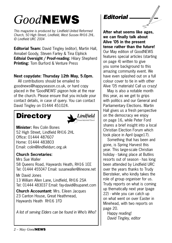## *Good*NEWS

This magazine is produced by: Lindfield United Reformed Church, 50 High Street, Lindfield, West Sussex RH16 2HL. © Lindfield URC 2004

**Editorial Team:** David Tingley (editor), Martin Hall, Annabel Goody, Steven Farley & Tina Elphick **Editoial Oversight / Proof-reading:** Hilary Shepherd **Printing:** Tom Burford & Venture Press

#### **Next copydate: Thursday 12th May, 5.0pm.**

All contributions should be emailed to goodnews@happyseason.co.uk, or hard copy placed in the 'GoodNEWS' pigeon hole at the rear of the church. Please ensure that you include your contact details, in case of query. You can contact David Tingley on 01444 451024.

## **Directory**



**Minister:** Rev Colin Bones 52 High Street, Lindfield RH16 2HL Office: 01444 487607 Home: 01444 483803 Email: colin@lindfieldurc.org.uk

#### **Church Secretaries:**

Mrs Sue Waller 58 Queens Road, Haywards Heath, RH16 1EE Tel: 01444 455047 Email: susanwaller@lineone.net

Mr David Jones 13 William Allen Lane, Lindfield, RH16 2SA Tel: 01444 483037 Email: fay-david@supanet.com

**Church Accountant:** Mrs. Eileen Jacques 23 Canton House, Great Heathmead, Haywards Heath RH16 1FD

A list of serving Elders can be found in Who's Who?

### Editorial

**After what seems like ages, we can finally talk about Alive '05 in the present tense rather than the future!** Our May edition of GoodNEWS features special articles (starting on page 4) written to give you some background to this amazing community event. We have even splashed out on a full colour cover to tie in with other Alive '05 materials! Call us crazy!

May is also a notable month this year, as we get to grips with politics and our General and Parliamentary Elections. Martin Hall gives us a fresh perspective on the democracy we enjoy on page 16, while Peter Ford shares a brief insight into a local Christian Election Forum which took place in April (page17).

Something that has been and gone, is Spring Harvest this year. This large-scale Christian holiday - taking place at Butlins resorts out of season - has long been attended by Lindfield URC over the years thanks to Trudy Biersteker, who kindly takes the role of group organiser for us. Trudy reports on what is coming up thematically next year (page 22) - while you can catch up on what went on over Easter in Minehead, with two reports on page 20.

Happy reading! David Tingley, editor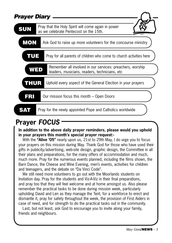| <b>Prayer Diary</b> |                                                                                                            |
|---------------------|------------------------------------------------------------------------------------------------------------|
| <b>SUN</b>          | Pray that the Holy Spirit will come again in power<br>as we celebrate Pentecost on the 15th.               |
| <b>MON</b>          | Ask God to raise up more volunteers for the concourse ministry                                             |
| TUE                 | Pray for all parents of children who come to church activities here                                        |
| WED                 | Remember all involved in our services: preachers, worship<br>leaders, musicians, readers, technicians, etc |
| THUR                | Uphold every aspect of the General Election in your prayers                                                |
| FRI                 | Our mission focus this month – Open Doors                                                                  |
|                     | Pray for the newly appointed Pope and Catholics worldwide                                                  |

## **Prayer FOCUS**

#### **In addition to the above daily prayer reminders, please would you uphold in your prayers this month's special prayer request:-**

With the **"Alive '05"** nearly upon us, 21st to 29th May, I do urge you to focus your prayers on this mission during May. Thank God for those who have used their gifts in publicity/advertising, web-site design, graphic design, the Committee in all their plans and preparations, for the many offers of accommodation and much, much more. Pray for the numerous events planned, including the films shown, the Barn Dance, the Cheese and Wine Evening, men's events, activities for children and teenagers, and the debate on "Da Vinci Code".

We still need more volunteers to go out with the Moorlands students on Invitation day. Pray for the students and Viz-A-Viz in their final preparations, and pray too that they will feel welcome and at home amongst us. Also please remember the practical tasks to be done during mission week, particularly upholding David and Len as they manage the Tent, for a workforce to erect and dismantle it, pray for safety throughout the week, the provision of First Aiders in case of need, and for strength to do the practical tasks out in the community.

Last, but not least, ask God to encourage you to invite along your family, friends and neighbours.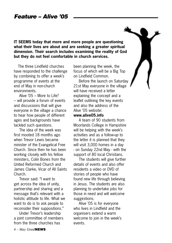**IT SEEMS today that more and more people are questioning what their lives are about and are seeking a greater spiritual dimension. Their search includes examining the reality of God but they do not feel comfortable in church services.**

The three Lindfield churches have responded to the challenge by combining to offer a week's programme of events at the end of May in non-church environments.

Alive  $705 -$  More to Life? – will provide a forum of events and discussions that will give everyone in the village a chance to hear how people of different ages and backgrounds have tackled such questions.

 The idea of the week was first mooted 18 months ago when Trevor Lewis became minister of the Evangelical Free Church. Since then he has been working closely with his fellow ministers, Colin Bones from the United Reformed Church and James Clarke, Vicar of All Saints Church.

 Trevor said: "I want to get across the idea of unity, partnership and sharing and a message that's relevant with a holistic attitude to life. What we want to do is to ask people to reconsider their suppositions."

 Under Trevor's leadership a joint committee of members from the three churches has

been planning the week, the focus of which will be a Big Top on Lindfield Common.

 Before the launch on Saturday 21st May everyone in the village will have received a letter explaining the concept and a leaflet outlining the key events and also the address of the Alive '05 website:

#### **www.alive05.info**

 A team of 90 students from Moorlands College in Hampshire will be helping with the week's activities and as a follow-up to the letter it is planned that they will visit 3,000 homes in a day - on Sunday 22nd May - with the support of 80 local Christians.

 The students will give further details of events and also offer residents a video or DVD of stories of people who have found new life through believing in Jesus. The students are also planning to undertake jobs for those in need and will welcome suggestions.

 Alive '05 is for everyone who lives in Lindfield and the organisers extend a warm welcome to join in the week's events.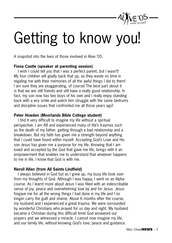

# Getting to know you!

A snapshot into the lives of those involved in Alive '05.

#### **Fiona Castle (speaker at parenting session)**

I wish I could tell you that I was a perfect parent, but I wasn't! My four children will gladly back that up, as they waste no time in regaling me with their memories of all the awful things I did to them! I am sure they are exaggerating, of course! The best part about it is that we are still friends and still have a really good relationship. In fact, my son now has two boys of his own and I really enjoy standing back with a wry smile and watch him struggle with the same tantrums and discipline issues that confronted me all those years ago!

#### **Peter Howden (Moorlands Bible College student)**

I find it very difficult to imagine my life without a spiritual perspective. I am 48 and experienced many of life's traumas such as the death of my father, getting through a bad relationship and a breakdown. But my faith has given me a strength beyond anything that I could have found within myself. Accepting God's Love and His son Jesus has given me a purpose for my life. Knowing that I am loved and accepted by the God that gave me life, brings with it an empowerment that enables me to understand that whatever happens to me in life, I know that God is with me.

#### **Neroli Allen (from All Saints Lindfield)**

I always believed in God but as I grew up, my busy life took over from my thoughts of God. Although I was happy, I went on an Alpha course. As I learnt more about Jesus I was filled with an indescribable sense of joy, peace and overwhelming love by and for Jesus. Jesus forgave me for all the wrong things I had done in my life and I no longer carry the guilt and shame. About 6 months after the course, my husband and I experienced a great trauma. We were surrounded by wonderful Christians who prayed for us day and night. My husband became a Christian during this difficult time! God answered our prayers and we witnessed a miracle. I cannot now imagine my life, and our family life, without knowing God's love, peace and guidance.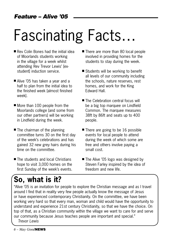# Fascinating Facts…

- Rev Colin Bones had the initial idea of Moorlands students working in the village for a week whilst attending Rev Trevor Lewis' [exstudent] induction service.
- Alive '05 has taken a year and a half to plan from the initial idea to the finished week [almost finished week].
- More than 100 people from the Moorlands college [and some from our other partners] will be working in Lindfield during the week.
- The chairman of the planning committee turns 30 on the first day of the week's celebrations and has gained 32 new grey hairs during his time on the committee.
- The students and local Christians hope to visit 3,000 homes on the first Sunday of the week's events.
- There are more than 80 local people involved in providing homes for the students to stay during the week.
- Students will be working to benefit all levels of our community including the schools, nature reserves, rest homes, and work for the King Edward Hall.
- The Celebration central focus will be a big top marquee on Lindfield Common. The marquee measures 38ft by 86ft and seats up to 400 people.
- $\blacksquare$  There are going to be 16 possible events for local people to attend during the week of which some are free and others involve paying a small cost.
- The Alive '05 logo was designed by Steven Farley inspired by the idea of freedom and new life.

## **So, what is it?**

"Alive '05 is an invitation for people to explore the Christian message and as I travel around I find that in reality very few people actually know the message of Jesus or have experienced contemporary Christianity. On the committee, we have been working very hard so that every man, woman and child would have the opportunity to understand and experience 21st century Christianity, so that we have the choice. On top of that, as a Christian community within the village we want to care for and serve our community because Jesus teaches people are important and special."

Trevor Lewis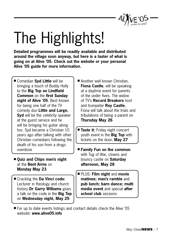

# The Highlights!

**Detailed programmes will be readily available and distributed around the village soon anyway, but here is a taster of what is going on at Alive '05. Check out the website or your personal Alive '05 guide for more information.**

- Comedian **Syd Little** will be bringing a touch of Buddy Holly to the **Big Top on Lindfield Common** on the **first Sunday night of Alive '05**. Best known for being one half of the TV comedy duo **Little and Large, Syd** will be the celebrity speaker at the guest service and he will be bringing his guitar along too. Syd became a Christian 10 years ago after talking with other Christian comedians following the death of his son from a drugs overdose
- Ouiz and Chips men's night at the **Bent Arms** on **Monday May 23**
- Cracking the **Da Vinci code:** Lecturer in theology and church history **Dr Garry Williams** gives a talk on the code in the **Big Top** on **Wednesday night, May 25**
- Another well known Christian. **Fiona Castle**, will be speaking at a daytime event for parents of the under fives. The widow of TV's **Record Breakers** host and trumpeter **Roy Castle**, Fiona will talk about the trials and tribulations of being a parent on **Thursday May 26**
- **Taste it:** Friday night concert youth event in the **Big Top** with tickets on the door, **May 27**
- **Family Fun on the common** with Tug of War, clowns and bouncy castle on **Saturday afternoon, May 28**
- PLUS: **Film night** and **movie matinee; men's ramble** and **pub lunch; barn dance; multi media event** and special **after school club** sessions
- $\blacksquare$  For up to date events listings and contact details check the Alive '05 website: **www.alive05.info**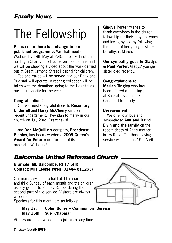## The Fellowship

**Please note there is a change to our published programme.** We shall meet on Wednesday 18th May at 2.45pm but will not be holding a Charity Lunch as advertised but instead we will be showing a video about the work carried out at Great Ormond Street Hospital for children.

Tea and cakes will be served and our Bring and Buy stall will operate. A retiring collection will be taken with the donations going to the Hospital as our main Charity for the year.

#### **Congratulations!**

Our warmest Congratulations to **Rosemary Underhill** and **Harry McCleery** on their recent Engagement. They plan to marry in our church on July 23rd. Great news!

...and **Dan McQuillin's** company, **Broadcast Bionics**, has been awarded a **2005 Queen's Award for Enterprise**, for one of its products. Well done!

**Gladys Porter** wishes to thank everybody in the church fellowship for their prayers, cards and loving sympathy following the death of her younger sister, Dorothy, in March.

**Our sympathy goes to Gladys & Paul Porter**; Gladys' younger sister died recently.

**Congratulations to Marian Tingley** who has been offered a teaching post at Sackville school in East Grinstead from July.

#### **Bereavement**

We offer our love and sympathy to **Ann and David Elvin and the family** on the recent death of Ann's motherin-law Rose. The thanksgiving service was held on 15th April.

### Balcombe United Reformed Church

#### **Bramble Hill, Balcombe, RH17 6HR Contact: Mrs Leonie Wren (01444 811253)**

Our main services are held at 11am on the first and third Sunday of each month and the children usually go out to Sunday School during the second part of the service. Visitors are always welcome.

Speakers for this month are as follows:-

#### **May 1st Colin Bones – Communion Service May 15th Sue Chapman**

Visitors are most welcome to join us at any time.

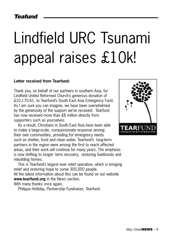# Lindfield URC Tsunami appeal raises £10k!

#### **Letter received from Tearfund:**

Thank you, on behalf of our partners in southern Asia, for Lindfield United Reformed Church's generous donation of £10,170.61, to Tearfund's South East Asia Emergency Fund. As I am sure you can imagine, we have been overwhelmed by the generosity of the support we've received: Tearfund has now received more than £8 million directly from supporters such as yourselves.

As a result, Christians in South East Asia have been able to make a large-scale, compassionate response among their own communities, providing for emergency needs such as shelter, food and clean water. Tearfund's long-term partners in the region were among the first to reach affected areas, and their work will continue for many years. The emphasis is now shifting to longer- term recovery, restoring livelihoods and rebuilding homes.

This is Tearfund's largest ever relief operation, which is bringing relief and restoring hope to some 300,000 people.

All the latest information about this can be found on our website **www.tearfund.org** in the News section.

With many thanks once again,

Philippa Holliday, Partnership Fundraiser, Tearfund.

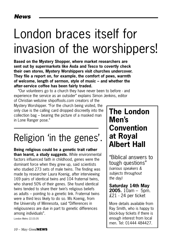## London braces itself for invasion of the worshippers!

**Based on the Mystery Shopper, where market researchers are sent out by supermarkets like Asda and Tesco to covertly check their own stores, Mystery Worshippers visit churches undercover. They file a report on, for example, the comfort of pews, warmth of welcome, length of sermon, style of music – and whether the after-service coffee has been fairly traded.**

"Our volunteers go to a church they have never been to before - and experience the service as an outsider" explains Simon Jenkins, editor of Christian webzine shipoffools.com creators of the

Mystery Worshipper. "For the church being visited, the only clue is the calling card dropped discreetly into the collection bag – bearing the picture of a masked man in Lone Ranger pose."

## Religion 'in the genes'.

**Being religious could be a genetic trait rather than learnt, a study suggests.** While environmental factors influenced faith in childhood, genes were the dominant force when they grew up, said scientists who studied 273 sets of male twins. The finding was made by researcher Laura Koenig, after interviewing 169 pairs of identical twins and 104 fraternal twins, who shared 50% of their genes. She found identical twins tended to share their twin's religious beliefs as adults – pointing to a genetic link. Fraternal twins were a third less likely to do so. Ms Koenig, from the University of Minnesota, said "Differences in religiousness are due in part to genetic differences among individuals".

London Metro 22.03.05

## **The London Men's Convention at Royal Albert Hall**

"Biblical answers to tough questions" (various speakers & subjects throughout the day)

**Saturday 14th May 2005.** 10am – 5pm. £21 - 24 per ticket

More details available from Ray Smith, who is happy to block-buy tickets if there is enough interest from local men. Tel: 01444 484427.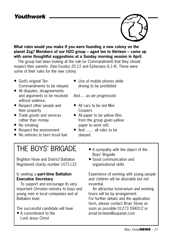### **Youthwork**



**What rules would you make if you were founding a new colony on the planet Zog? Members of our H2O group – aged ten to thirteen – came up with some thoughtful suggestions at a Sunday morning session in April.** 

The group had been looking at the rule (or Commandment) that they should respect their parents. (See Exodus 20.12 and Ephesians 6.1-4). These were some of their rules for the new colony.

- God's original Ten Commandments to be obeyed
- All disputes, disagreements and arguments to be resolved without violence
- Respect other people and their property
- Trade goods and services rather than money
- No smoking
- Respect the environment
- No vehicles to burn fossil fuel

• Use of mobile phones while driving to be prohibited

And…. as we progressed:

- All cars to be red Mini Coopers
- All paper to be vellow (this from the group given yellow paper to work on!).
- And …… all rules to be obeyed.

## THE BOYS' BRIGADE

Brighton Hove and District Battalion Registered charity number 1071122

#### Is seeking a **part-time Battalion Executive Secretary**

To support and encourage its very important Christian ministry to boys and young men in local companies and at Battalion level.

The successful candidate will have

• A commitment to the Lord Jesus Christ

- A sympathy with the object of the Boys' Brigade
- Good communication and organisational skills

Experience of working with young people and children will be desirable but not essential.

An attractive honorarium and working hours will be by arrangement. For further details and the application form, please contact Brian Stone as soon as possible 01273 594012 or email bri-bren@supanet.com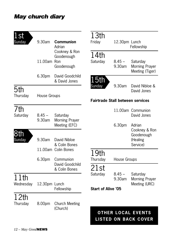### May church diary

| st<br>Sunday      | 9.30am             | <b>Communion</b><br>Adrian                | 13th<br>Friday                          | 12.30pm Lunch      | Fellowship                                               |
|-------------------|--------------------|-------------------------------------------|-----------------------------------------|--------------------|----------------------------------------------------------|
|                   | 11.00am Ron        | Cookney & Ron<br>Goodenough<br>Goodenough | 14th<br>Saturday                        | $8.45 -$<br>9.30am | Saturday<br>Morning Prayer<br>Meeting (Tiger)            |
|                   | 6.30pm             | David Goodchild<br>& David Jones          | 15th                                    | 9.30am             | David Nibloe &                                           |
| 5th<br>Thursday   | House Groups       |                                           | Sunday                                  |                    | David Jones                                              |
|                   |                    |                                           | <b>Fairtrade Stall between services</b> |                    |                                                          |
| 7th<br>Saturday   | $8.45 -$<br>9.30am | Saturday<br><b>Morning Prayer</b>         |                                         |                    | 11.00am Communion<br>David Jones                         |
|                   |                    | Meeting (EFC)                             |                                         | 6.30pm             | Adrian<br>Cookney & Ron                                  |
| 8th<br>Sunday     | 9.30am             | David Nibloe<br>& Colin Bones             |                                         |                    | Goodenough<br>(Healing<br>Service)                       |
|                   |                    | 11.00am Colin Bones                       | 19th                                    |                    |                                                          |
|                   | 6.30pm             | Communion<br>David Goodchild              | Thursday                                | House Groups       |                                                          |
|                   |                    | & Colin Bones                             | 21st<br>Saturday                        | $8.45 -$           | Saturday                                                 |
| 11th<br>Wednesday | 12.30pm Lunch      |                                           |                                         | 9.30am             | Morning Prayer<br>Meeting (URC)                          |
|                   |                    | Fellowship                                | <b>Start of Alive '05</b>               |                    |                                                          |
| 12th<br>Thursday  | 8.00pm             | <b>Church Meeting</b><br>(Church)         |                                         |                    |                                                          |
|                   |                    |                                           |                                         |                    | <b>OTHER LOCAL EVENTS</b><br><b>LISTED ON BACK COVER</b> |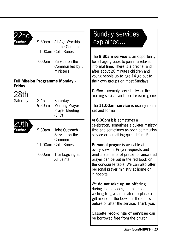

Sunday 9.30am All Age Worship on the Common 11.00am Colin Bones

> 7.00pm Service on the Common led by 3 ministers

#### **Full Mission Programme Monday - Friday**

28th

Saturday 8.45 – Saturday 9.30am Morning Prayer Prayer Meeting (EFC)



9.30am Joint Outreach Service on the Common 11.00am Colin Bones

7.00pm Thanksgiving at All Saints

## Sunday services explained...

The **9.30am service** is an opportunity for all age groups to join in a relaxed informal time. There is a crèche, and after about 20 minutes children and young people up to age 14 go out to their own groups on most Sundays.

**Coffee** is normally served between the morning services and after the evening one.

The **11.00am service** is usually more set and formal.

At **6.30pm** it is sometimes a celebration, sometimes a quieter ministry time and sometimes an open communion service or something quite different!

**Personal prayer** is available after every service. Prayer requests and brief statements of praise for answered prayer can be put in the red book on the concourse table. We can also offer personal prayer ministry at home or in hospital.

We **do not take up an offering** during the services, but all those wishing to give are invited to place a gift in one of the bowls at the doors before or after the service. Thank you.

Cassette **recordings of services** can be borrowed free from the church.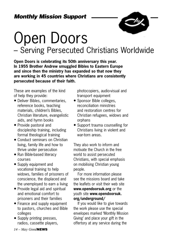### Monthly Mission Support



## Open Doors – Serving Persecuted Christians Worldwide

**Open Doors is celebrating its 50th anniversary this year. In 1955 Brother Andrew smuggled Bibles to Eastern Europe and since then the ministry has expanded so that now they are working in 45 countries where Christians are consistently persecuted because of their faith.**

These are examples of the kind of help they provide:

- Deliver Bibles, commentaries, reference books, teaching materials, children's Bibles, Christian literature, evangelistic aids, and hymn books
- Provide pastoral and discipleship training, including formal theological training
- Conduct seminars on Christian living, family life and how to thrive under persecution
- Run Bible-based literacy courses
- Supply equipment and vocational training to help widows, families of prisoners of conscience, the displaced and the unemployed to earn a living
- Provide legal aid and spiritual and emotional comfort to prisoners and their families
- Finance and supply equipment to pastors, churches and Bible colleges
- Supply printing presses, radios, cassette players,

photocopiers, audio-visual and transport equipment

- Sponsor Bible colleges, reconciliation ministries and restoration centres for Christian refugees, widows and orphans
- Support trauma counselling for Christians living in violent and war-torn areas.

They also work to inform and motivate the Church in the free world to assist persecuted Christians, with special emphasis on mobilising Christian young people.

For more information please see the missions board and take the leaflets or visit their web site **www.opendoorsuk.org** or the youth site **www.opendoorsuk. org/underground/**

If you would like to give towards the work please use the special envelopes marked 'Monthly Mission Giving' and place your gift in the offertory at any service during the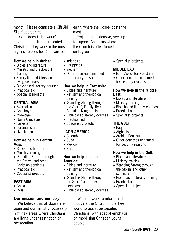month. Please complete a Gift Aid Slip if appropriate.

Open Doors is the world's largest outreach to persecuted Christians. They work in the most high-risk places for Christians on

#### **How we help in Africa:**

- Bibles and literature
- Ministry and theological training
- Family life and Christian living seminars
- Bible-based literacy courses
- Practical aid
- Specialist projects

#### **CENTRAL ASIA**

- Azerbaijan
- Chechnya
- Mid-Volga
- North Caucasus
- Tajikistan
- Turkmenistan
- Uzbekistan

#### **How we help in Central Asia:**

- Bibles and literature
- Ministry training
- 'Standing Strong through the Storm' and other Christian seminars
- Practical aid
- Specialist projects

#### **EAST ASIA**

- China
- India

#### **Our mission and ministry**

We believe that all doors are open and our ministry focuses on high-risk areas where Christians are living under restriction or persecution.

earth, where the Gospel costs the most.

Projects are extensive, seeking to support Christians where the Church is often forced underground.

- Indonesia
- Philippines
- Vietnam
- Other countries unnamed for security reasons

#### **How we help in East Asia:**

- Bibles and literature
- Ministry and theological training
- 'Standing Strong through the Storm', Family life and Christian living seminars
- Bible-based literacy courses
- Practical aid
- Specialist projects

#### **LATIN AMERICA**

- Colombia
- Cuba
- Mexico
- Peru

#### **How we help in Latin America:**

- Bibles and literature
- Ministry and theological training
- 'Standing Strong through the Storm' and other seminars
- Bible-based literacy courses

• Specialist projects

#### **MIDDLE EAST**

- Israel/West Bank & Gaza
- Other countries unnamed for security reasons

#### **How we help in the Middle East:**

- Bibles and literature
- Ministry training
- Bible-based literacy courses
- Practical aid
- Specialist projects

#### **THE GULF**

- Iraq
- Afghanistan
- Arabian Peninsula
- Other countries unnamed for security reasons

#### **How we help in the Gulf:**

- Bibles and literature
- Ministry training
- 'Standing Strong through the Storm' and other seminars
- Bible based literacy training
- Practical aid
- Specialist projects

We also work to inform and motivate the Church in the free world to assist persecuted Christians, with special emphasis on mobilising Christian young people.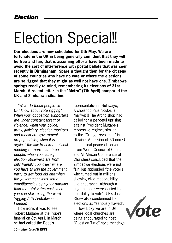## Election Special!!

**Our elections are now scheduled for 5th May. We are fortunate in the UK in being generally confident that they will be free and fair, that is assuming efforts have been made to avoid the sort of interference with postal ballots that was seen recently in Birmingham. Spare a thought then for the citizens of some countries who have no vote or where the elections are so rigged that they might as well not have one. Zimbabwe springs readily to mind, remembering its elections of 31st March. A recent letter in the "Metro" (7th April) compared the UK and Zimbabwe situation:-**

"What do these people [in UK] know about vote rigging? When your opposition supporters are under constant threat of violence; when your police, army, judiciary, election monitors and media are government propagandists; when it is against the law to hold a political meeting of more than three people; when your foreign election observers are from only friendly countries; where you have to join the government party to get food aid and when the government wins some constituencies by higher margins than the total votes cast, then you can start using the word 'rigging'." (A Zimbabwean in London)

How ironic it was to see Robert Mugabe at the Pope's funeral on 8th April. In March he had called the Pope's

representative in Bulawayo, Archbishop Pius Ncube, a "half-wit"!! The Archbishop had called for a peaceful uprising against President Mugabe's repressive regime, similar to the "Orange revolution" in Ukraine. A mission of 60 non-EU ecumenical peace observers (from World Council of Churches and All African Conference of Churches) concluded that the Zimbabwe elections were not fair, but applauded "the voters who turned out in millions, showing civic responsibility and endurance, although a huge number were denied the possibility to vote". UK's Jack Straw also condemned the elections as "seriously flawed".

How lucky we are in UK where local churches are being encouraged to host "Question Time" style meetings

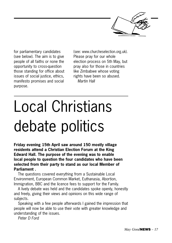

for parliamentary candidates (see below). The aim is to give people of all faiths or none the opportunity to cross-question those standing for office about issues of social justice, ethics, manifesto promises and social purpose.

(see: www.churcheselection.org.uk). Please pray for our whole election process on 5th May, but pray also for those in countries like Zimbabwe whose voting rights have been so abused. Martin Hall

# Local Christians debate politics

**Friday evening 15th April saw around 150 mostly village residents attend a Christian Election Forum at the King Edward Hall. The purpose of the evening was to enable local people to question the four candidates who have been selected from their party to stand as our local Member of Parliament .** 

The questions covered everything from a Sustainable Local Environment, European Common Market, Euthanasia, Abortion, Immigration, BBC and the licence fees to support for the Family.

A lively debate was held and the candidates spoke openly, honestly and freely, giving their views and opinions on this wide range of subjects.

Speaking with a few people afterwards I gained the impression that people will now be able to use their vote with greater knowledge and understanding of the issues.

Peter D Ford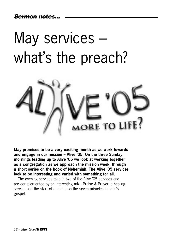Sermon notes...

# May services – what's the preach?



**May promises to be a very exciting month as we work towards and engage in our mission – Alive '05. On the three Sunday mornings leading up to Alive '05 we look at working together as a congregation as we approach the mission week, through a short series on the book of Nehemiah. The Alive '05 services look to be interesting and varied with something for all.**

The evening services take in two of the Alive '05 services and are complemented by an interesting mix - Praise & Prayer, a healing service and the start of a series on the seven miracles in John's gospel.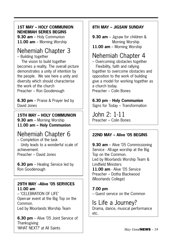#### **1ST MAY – HOLY COMMUNION NEHEMIAH SERIES BEGINS**

**9.30 am** – Holy Communion **11.00 am** – Morning Worship

### Nehemiah Chapter 3

– Building together The vision to build together becomes a reality. The overall picture demonstrates a unity of intention by the people. We see here a unity and diversity which should characterise the work of the church Preacher – Ron Goodenough

**6.30 pm** – Praise & Prayer led by David Jones

#### **15TH MAY – HOLY COMMUNION 9.30 am** – Morning Worship **11.00 am – Holy Communion**

### Nehemiah Chapter 6

– Completion of the task Unity leads to a wonderful scale of achievement. Preacher – David Jones

**6.30 pm** – Healing Service led by Ron Goodenough

#### **29TH MAY –Alive '05 SERVICES 11.00 am**

– 'CELEBRATION OF LIFE' Open-air event at the Big Top on the Common. Led by Moorlands Worship Team

**6.30 pm** – Alive '05 Joint Service of Thanksgiving 'WHAT NEXT?' at All Saints

#### **8TH MAY – JIGSAW SUNDAY**

**9.30 am** – Jigsaw for children & Morning Worship **11.00 am** – Morning Worship

### Nehemiah Chapter 4

– Overcoming obstacles together Flexibility, faith and rallying together to overcome obstacles and opposition to the work of building give a model for working together as a church today. Preacher – Colin Bones

#### **6.30 pm** – **Holy Communion**

Signs for Today – Transformation

John 2: 1-11 Preacher – Colin Bones

#### **22ND MAY – Alive '05 BEGINS**

**9.30 am** – Alive '05 Commissioning Service - All-age worship at the Big Top on the Common. Led by Moorlands Worship Team & Lindfield Ministers **11.00 am** - Alive '05 Service Preacher – Dotha Blackwood (Moorlands College)

**7.00 pm** – Guest service on the Common

Is Life a Journey? Drama, dance, musical performance etc.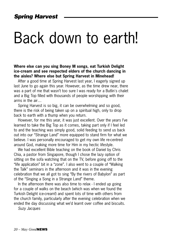## Back down to earth!

**Where else can you sing Boney M songs, eat Turkish Delight ice-cream and see respected elders of the church dancing in the aisles? Where else but Spring Harvest in Minehead!**

After a good time at Spring Harvest last year, I eagerly signed up last June to go again this year. However, as the time drew near, there was a part of me that wasn't too sure I was ready for a Butlin's chalet and a Big Top filled with thousands of people worshipping with their arms in the air…

Spring Harvest is so big, it can be overwhelming and so good, there is the risk of being taken up on a spiritual high, only to drop back to earth with a thump when you return.

However, for me this year, it was just excellent. Over the years I've learned to take the Big Top as it comes, taking part only if I feel led to and the teaching was simply good, solid feeding to send us back out into our "Strange Land" more equipped to stand firm for what we believe. I was personally encouraged to get my own life re-centred around God, making more time for Him in my hectic lifestyle.

We had excellent Bible teaching on the book of Daniel by Chris Chia, a pastor from Singapore, though I chose the lazy option of sitting on the sofa watching that on the TV, before going off to the "life application" bit in a "zone". I also went to a couple of "Walking the Talk" seminars in the afternoon and it was in the evening celebration that we all got to sing "By the rivers of Babylon" as part of the "Singing a Song in a Strange Land" theme.

In the afternoon there was also time to relax - I ended up going for a couple of walks on the beach (which was when we found the Turkish Delight ice-cream!) and spent lots of time with others from the church family, particularly after the evening celebration when we ended the day discussing what we'd learnt over coffee and biscuits.

Suzy Jacques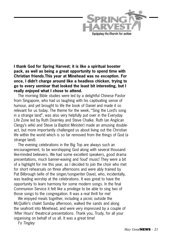

Equipping the Church for action

**I thank God for Spring Harvest; it is like a spiritual booster pack, as well as being a great opportunity to spend time with Christian friends.This year at Minehead was no exception. For once, I didn't charge around like a headless chicken, trying to go to every seminar that looked the least bit interesting, but I really enjoyed what I chose to attend.** 

The morning Bible studies were led by a delightful Chinese Pastor from Singapore, who had us laughing with his captivating sense of humour, and yet brought to life the book of Daniel and made it so relevant for us today. The theme for the week, "Sing the Lord's song in a strange land", was also very helpfully put over in the Everyday Life Zone led by Ruth Dearnley and Steve Chalke. Ruth (an Anglican Clergy's wife) and Steve (a Baptist Minister) made an amusing doubleact, but more importantly challenged us about living out the Christian life within the world which is so far removed from the things of God (a strange land).

The evening celebrations in the Big Top are always such an encouragement, to be worshipping God along with several thousand like-minded believers. We had some excellent speakers, good drama presentations, much banner-waving and 'loud' music! They were a bit of a highlight for me this year, as I decided to join the choir who met for short rehearsals on three afternoons and were ably trained by Pat Bilbrough (wife of the singer/songwriter Dave), who, incidentally, was leading worship at the celebrations. It was great to have the opportunity to learn harmony for some modern songs. In the final Communion Service it felt like a privilege to be able to sing two of those songs to the congregation. It was a real thrill for me!

We enjoyed meals together, including a picnic outside the McQuillin's chalet Sunday afternoon, walked the sands and along the seafront into Minehead, and were very impressed by a couple of 'After Hours' theatrical presentations. Thank you, Trudy, for all your organising on behalf of us all. It was a great time!

Fo Tingley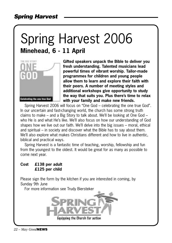## Spring Harvest 2006 **Minehead, 6 - 11 April**



**Gifted speakers unpack the Bible to deliver you fresh understanding. Talented musicians lead powerful times of vibrant worship. Tailor-made programmes for children and young people allow them to learn and explore their faith with their peers. A number of meeting styles and additional workshops give opportunity to study the way that suits you. Plus there's time to relax with your family and make new friends.**

Spring Harvest 2006 will focus on "One God – celebrating the one true God". In our uncertain and fast-changing world, the church has some strong truth claims to make – and a Big Story to talk about. We'll be looking at One God – who He is and what He's like. We'll also focus on how our understanding of God shapes how we live out our faith. We'll delve into the big issues – moral, ethical and spiritual – in society and discover what the Bible has to say about them. We'll also explore what makes Christians different and how to live in authentic, biblical and practical ways.

Spring Harvest is a fantastic time of teaching, worship, fellowship and fun from the youngest to the oldest. It would be great for as many as possible to come next year.

#### **Cost £138 per adult £125 per child**

Please sign the form by the kitchen if you are interested in coming, by Sunday 9th June

For more information see Trudy Biersteker

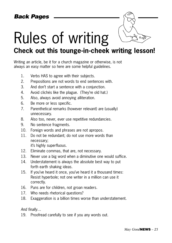# Rules of writing

## **Check out this tounge-in-cheek writing lesson!**

Writing an article, be it for a church magazine or otherwise, is not always an easy matter so here are some helpful guidelines.

- 1. Verbs HAS to agree with their subjects.
- 2. Prepositions are not words to end sentences with.
- 3. And don't start a sentence with a conjunction.
- 4. Avoid clichés like the plague. (They're old hat.)
- 5. Also, always avoid annoying alliteration.
- 6. Be more or less specific.
- 7. Parenthetical remarks (however relevant) are (usually) unnecessary.
- 8. Also too, never, ever use repetitive redundancies.
- 9. No sentence fragments.
- 10. Foreign words and phrases are not apropos.
- 11. Do not be redundant; do not use more words than necessary; it's highly superfluous.
	-
- 12. Eliminate commas, that are, not necessary.
- 13. Never use a big word when a diminutive one would suffice.
- 14. Understatement is always the absolute best way to put forth earth shaking ideas.
- 15. If you've heard it once, you've heard it a thousand times: Resist hyperbole; not one writer in a million can use it correctly.
- 16. Puns are for children, not groan readers.
- 17. Who needs rhetorical questions?
- 18. Exaggeration is a billion times worse than understatement.

#### And finally…

19. Proofread carefully to see if you any words out.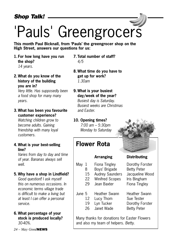# 'Pauls' Greengrocers

**This month Paul Bicknall, from 'Pauls' the greengrocer shop on the High Street, answers our questions for us:**

- **1. For how long have you run the shop?** 14 years.
- **2. What do you know of the history of the building you are in?**

 Very little. Has supposedly been a food shop for many many years.

**3. What has been you favourite customer experience?**

 Watching children grow to become adults. Gaining friendship with many loyal customers.

**4. What is your best-selling line?**

 Varies from day to day and time of year. Bananas always sell well.

#### **5. Why have a shop in Lindfield?**

 Good question!! I ask myself this on numerous occasions. In economic terms village trade is difficult to make a living but at least I can offer a personal service.

**6. What percentage of your stock is produced locally?** 30-40%.

*24 – May Good*NEWS

- **7. Total number of staff?** 4/5
- **8. What time do you have to get up for work?**  1.30am
- **9. What is your busiest day/week of the year?** Busiest day is Saturday. Busiest weeks are Christmas and Easter.

**10. Opening times?** 7:00 am – 5:30pm Monday to Saturday

## **Flower Rota**

#### **Arranging Distributing**

- May 1 Fiona Tingley Dorothy Forster 8 Boys' Brigade Betty Peter
	- 15 Audrey Saunders Jacqueline Wood
	- 22 Winifred Scopes Iris Bingham
	- 29 Jean Baxter Fiona Tingley
	-
- June 5 Heather Swann Heather Swann
	- 12 Lucy Thom Sue Tester
	- 19 Lyn Tucker Dorothy Forster
	- 26 Janet Wade Betty Peter

Many thanks for donations for Easter Flowers and also my team of helpers. Betty.

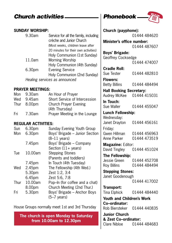### Church activities **Phonebook** 25

#### **SUNDAY WORSHIP:**

| 9.30am             | Service for all the family, including<br>crèche and Junior Church |
|--------------------|-------------------------------------------------------------------|
|                    | (Most weeks, children leave after                                 |
|                    | 20 minutes for their own activities)                              |
|                    | Holy Communion (1st Sunday)                                       |
| 11.0am             | Morning Worship                                                   |
|                    | Holy Communion (4th Sunday)                                       |
| 6.30 <sub>pm</sub> | <b>Evening Service</b>                                            |
|                    | Holy Communion (2nd Sunday)                                       |
|                    | Healing services as announced                                     |

#### **PRAYER MEETINGS:**

|        | An Hour of Prayer             |
|--------|-------------------------------|
| 9.45am | Short Service of Intercession |
|        | <b>Church Prayer Evening</b>  |
|        | (4th Thursday)                |
| 7.30am | Prayer Meeting in the Lounge  |
|        | 9.30am<br>Thur 8.00pm         |

#### **REGULAR ACTIVITIES:**

| Sun  | 6.30 <sub>pm</sub> | Sunday Evening Youth Group     |
|------|--------------------|--------------------------------|
| Mon  | 6.30pm             | Boys' Brigade - Junior Section |
|      |                    | $(8-11 \text{ years})$         |
|      | 7.45pm             | Boys' Brigade - Company        |
|      |                    | Section $(11 + \text{years})$  |
| Tue  | 10.00am            | <b>Stepping Stones</b>         |
|      |                    | (Parents and toddlers)         |
|      | 7.45pm             | In Touch (4th Tuesday)         |
| Wed  | 2.45pm             | The Fellowship (4th Wed.)      |
|      | 5.30pm             | Zest 1:2, 3:4                  |
|      | 6.45pm             | Zest 5:6, 7:8                  |
| Thur | 10.00am            | Pop-In (for coffee and a chat) |
|      | 8.00pm             | Church Meeting (2nd Thur.)     |
| Fri  | 5.30pm             | Boys' Brigade - Anchor Boys    |
|      |                    | (5–7 vears)                    |
|      |                    |                                |

House Groups normally meet 1st and 3rd Thursday

**The church is open Monday to Saturday from 10.00am to 12.30pm**

|                                                   | $\subset$ :  |  |  |
|---------------------------------------------------|--------------|--|--|
|                                                   |              |  |  |
| Church (payphone):                                | 01444 484620 |  |  |
| Minister's office number:                         |              |  |  |
|                                                   | 01444 487607 |  |  |
| <b>Boys' Brigade:</b>                             |              |  |  |
| Geoffrey Cocksedge                                |              |  |  |
|                                                   | 01444 474007 |  |  |
| <b>Cradle Roll:</b>                               |              |  |  |
| Sue Tester                                        | 01444 482810 |  |  |
| <b>Flowers:</b>                                   |              |  |  |
| <b>Betty Billins</b>                              | 01444 484494 |  |  |
| <b>Hall Booking Secretary:</b>                    |              |  |  |
| Audrey McKee                                      | 01444 415031 |  |  |
| In Touch:                                         |              |  |  |
| Sue Waller                                        | 01444 455047 |  |  |
| <b>Lunch Fellowship:</b>                          |              |  |  |
| Wednesday:                                        |              |  |  |
| Janet Drayton                                     | 01444 456161 |  |  |
| Friday:                                           |              |  |  |
| Gwen Hillman                                      | 01444 456963 |  |  |
| Anne Parker                                       | 01444 473519 |  |  |
| Magazine: Editor:                                 |              |  |  |
| David Tingley                                     | 01444 451024 |  |  |
| The Fellowship:                                   |              |  |  |
| Jessie Green                                      | 01444 452708 |  |  |
| <b>Roy Billins</b>                                | 01444 484494 |  |  |
| <b>Stepping Stones:</b>                           |              |  |  |
| Janet Goodenough                                  | 01444 417002 |  |  |
|                                                   |              |  |  |
| Transport:<br><b>Tina Elphick</b>                 | 01444 484440 |  |  |
|                                                   |              |  |  |
| <b>Youth and Children's Work</b><br>Co-ordinator: |              |  |  |
| Rob Biersteker                                    | 01444 440835 |  |  |
| <b>Junior Church</b>                              |              |  |  |
| & Zest Co-ordinator:                              |              |  |  |
| Clare Nibloe                                      | 01444 484683 |  |  |